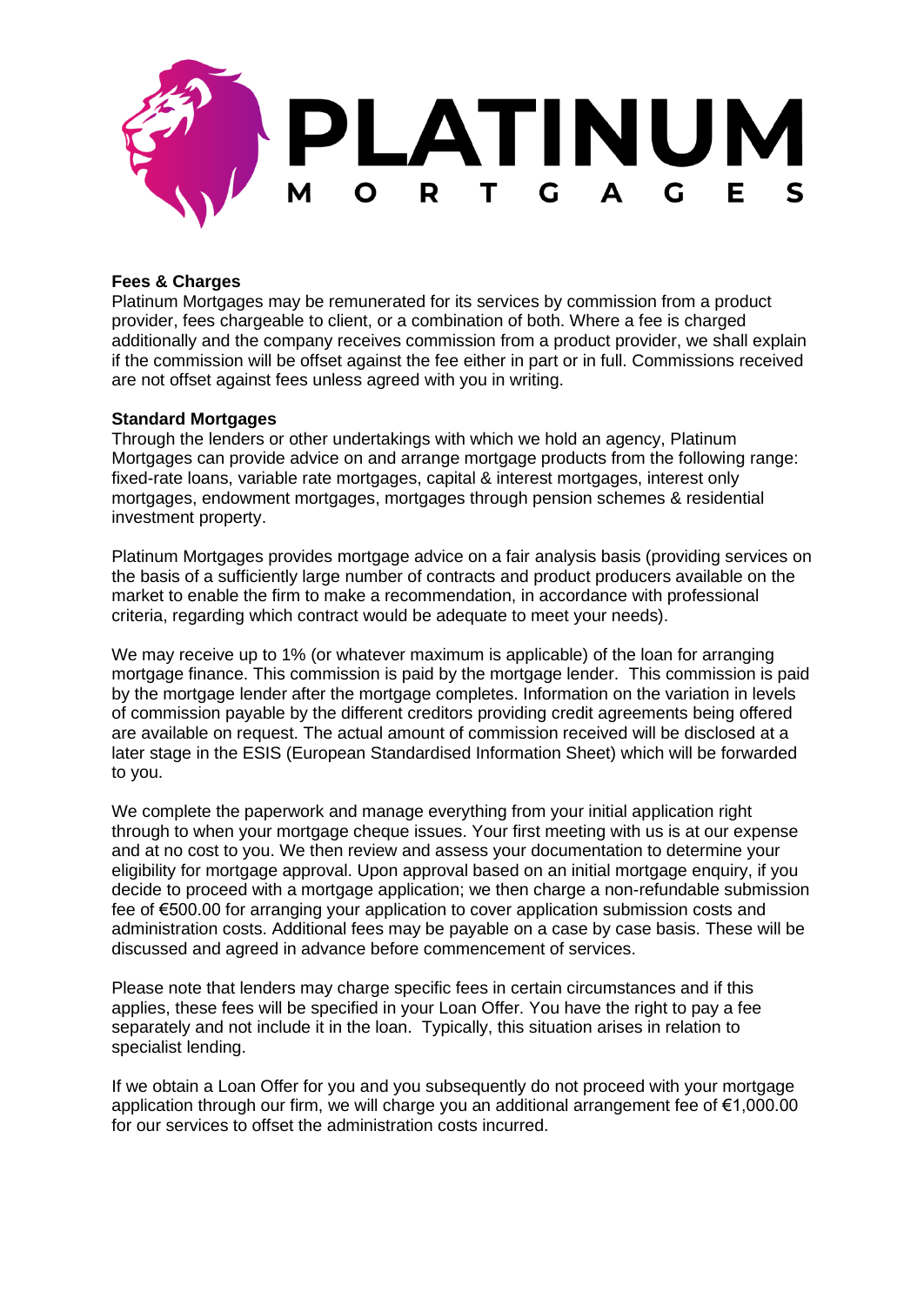

# **Fees & Charges**

Platinum Mortgages may be remunerated for its services by commission from a product provider, fees chargeable to client, or a combination of both. Where a fee is charged additionally and the company receives commission from a product provider, we shall explain if the commission will be offset against the fee either in part or in full. Commissions received are not offset against fees unless agreed with you in writing.

## **Standard Mortgages**

Through the lenders or other undertakings with which we hold an agency, Platinum Mortgages can provide advice on and arrange mortgage products from the following range: fixed-rate loans, variable rate mortgages, capital & interest mortgages, interest only mortgages, endowment mortgages, mortgages through pension schemes & residential investment property.

Platinum Mortgages provides mortgage advice on a fair analysis basis (providing services on the basis of a sufficiently large number of contracts and product producers available on the market to enable the firm to make a recommendation, in accordance with professional criteria, regarding which contract would be adequate to meet your needs).

We may receive up to 1% (or whatever maximum is applicable) of the loan for arranging mortgage finance. This commission is paid by the mortgage lender. This commission is paid by the mortgage lender after the mortgage completes. Information on the variation in levels of commission payable by the different creditors providing credit agreements being offered are available on request. The actual amount of commission received will be disclosed at a later stage in the ESIS (European Standardised Information Sheet) which will be forwarded to you.

We complete the paperwork and manage everything from your initial application right through to when your mortgage cheque issues. Your first meeting with us is at our expense and at no cost to you. We then review and assess your documentation to determine your eligibility for mortgage approval. Upon approval based on an initial mortgage enquiry, if you decide to proceed with a mortgage application; we then charge a non-refundable submission fee of €500.00 for arranging your application to cover application submission costs and administration costs. Additional fees may be payable on a case by case basis. These will be discussed and agreed in advance before commencement of services.

Please note that lenders may charge specific fees in certain circumstances and if this applies, these fees will be specified in your Loan Offer. You have the right to pay a fee separately and not include it in the loan. Typically, this situation arises in relation to specialist lending.

If we obtain a Loan Offer for you and you subsequently do not proceed with your mortgage application through our firm, we will charge you an additional arrangement fee of €1,000.00 for our services to offset the administration costs incurred.